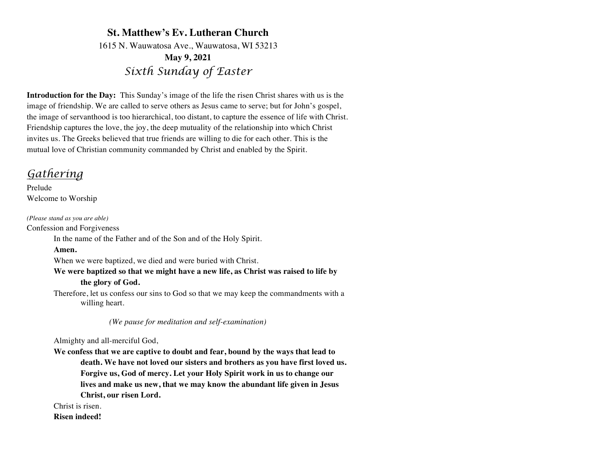## **St. Matthew's Ev. Lutheran Church** 1615 N. Wauwatosa Ave., Wauwatosa, WI 53213 **May 9, 2021** *Sixth Sunday of Easter*

**Introduction for the Day:** This Sunday's image of the life the risen Christ shares with us is the image of friendship. We are called to serve others as Jesus came to serve; but for John's gospel, the image of servanthood is too hierarchical, too distant, to capture the essence of life with Christ. Friendship captures the love, the joy, the deep mutuality of the relationship into which Christ invites us. The Greeks believed that true friends are willing to die for each other. This is the mutual love of Christian community commanded by Christ and enabled by the Spirit.

# *Gathering*

Prelude Welcome to Worship

*(Please stand as you are able)* Confession and Forgiveness

In the name of the Father and of the Son and of the Holy Spirit.

**Amen.**

When we were baptized, we died and were buried with Christ.

**We were baptized so that we might have a new life, as Christ was raised to life by the glory of God.**

Therefore, let us confess our sins to God so that we may keep the commandments with a willing heart.

 *(We pause for meditation and self-examination)*

Almighty and all-merciful God,

**We confess that we are captive to doubt and fear, bound by the ways that lead to death. We have not loved our sisters and brothers as you have first loved us. Forgive us, God of mercy. Let your Holy Spirit work in us to change our lives and make us new, that we may know the abundant life given in Jesus Christ, our risen Lord.** 

Christ is risen.

**Risen indeed!**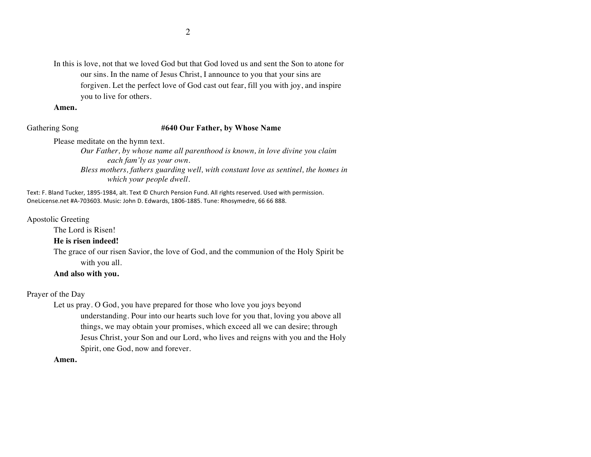In this is love, not that we loved God but that God loved us and sent the Son to atone for our sins. In the name of Jesus Christ, I announce to you that your sins are forgiven. Let the perfect love of God cast out fear, fill you with joy, and inspire you to live for others.

**Amen.**

#### Gathering Song **#640 Our Father, by Whose Name**

Please meditate on the hymn text.

*Our Father, by whose name all parenthood is known, in love divine you claim each fam'ly as your own. Bless mothers, fathers guarding well, with constant love as sentinel, the homes in* 

*which your people dwell.*

Text: F. Bland Tucker, 1895-1984, alt. Text © Church Pension Fund. All rights reserved. Used with permission. OneLicense.net #A-703603. Music: John D. Edwards, 1806-1885. Tune: Rhosymedre, 66 66 888.

Apostolic Greeting

The Lord is Risen!

### **He is risen indeed!**

The grace of our risen Savior, the love of God, and the communion of the Holy Spirit be with you all.

## **And also with you.**

Prayer of the Day

Let us pray. O God, you have prepared for those who love you joys beyond understanding. Pour into our hearts such love for you that, loving you above all things, we may obtain your promises, which exceed all we can desire; through Jesus Christ, your Son and our Lord, who lives and reigns with you and the Holy Spirit, one God, now and forever.

**Amen.**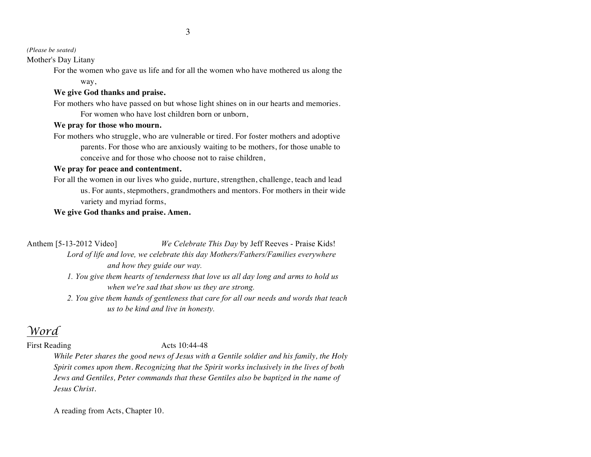*(Please be seated)*

Mother's Day Litany

For the women who gave us life and for all the women who have mothered us along the way,

## **We give God thanks and praise.**

For mothers who have passed on but whose light shines on in our hearts and memories. For women who have lost children born or unborn,

## **We pray for those who mourn.**

For mothers who struggle, who are vulnerable or tired. For foster mothers and adoptive parents. For those who are anxiously waiting to be mothers, for those unable to conceive and for those who choose not to raise children,

## **We pray for peace and contentment.**

For all the women in our lives who guide, nurture, strengthen, challenge, teach and lead us. For aunts, stepmothers, grandmothers and mentors. For mothers in their wide variety and myriad forms,

## **We give God thanks and praise. Amen.**

Anthem [5-13-2012 Video] *We Celebrate This Day* by Jeff Reeves - Praise Kids! *Lord of life and love, we celebrate this day Mothers/Fathers/Families everywhere and how they guide our way.*

- *1. You give them hearts of tenderness that love us all day long and arms to hold us when we're sad that show us they are strong.*
- *2. You give them hands of gentleness that care for all our needs and words that teach us to be kind and live in honesty.*

# *Word*

## First Reading **Acts** 10:44-48

*While Peter shares the good news of Jesus with a Gentile soldier and his family, the Holy Spirit comes upon them. Recognizing that the Spirit works inclusively in the lives of both Jews and Gentiles, Peter commands that these Gentiles also be baptized in the name of Jesus Christ.*

A reading from Acts, Chapter 10.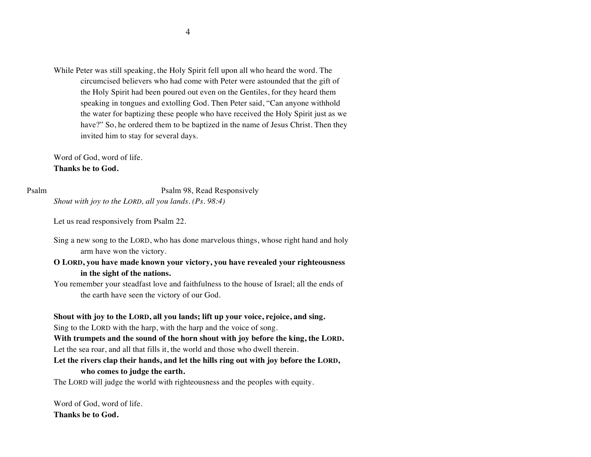While Peter was still speaking, the Holy Spirit fell upon all who heard the word. The circumcised believers who had come with Peter were astounded that the gift of the Holy Spirit had been poured out even on the Gentiles, for they heard them speaking in tongues and extolling God. Then Peter said, "Can anyone withhold the water for baptizing these people who have received the Holy Spirit just as we have?" So, he ordered them to be baptized in the name of Jesus Christ. Then they invited him to stay for several days.

Word of God, word of life. **Thanks be to God.**

Psalm Psalm 98, Read Responsively *Shout with joy to the LORD, all you lands. (Ps. 98:4)*

Let us read responsively from Psalm 22.

Sing a new song to the LORD, who has done marvelous things, whose right hand and holy arm have won the victory.

## **O LORD, you have made known your victory, you have revealed your righteousness in the sight of the nations.**

You remember your steadfast love and faithfulness to the house of Israel; all the ends of the earth have seen the victory of our God.

# **Shout with joy to the LORD, all you lands; lift up your voice, rejoice, and sing.**

Sing to the LORD with the harp, with the harp and the voice of song.

**With trumpets and the sound of the horn shout with joy before the king, the LORD.**  Let the sea roar, and all that fills it, the world and those who dwell therein.

## **Let the rivers clap their hands, and let the hills ring out with joy before the LORD, who comes to judge the earth.**

The LORD will judge the world with righteousness and the peoples with equity.

Word of God, word of life. **Thanks be to God.**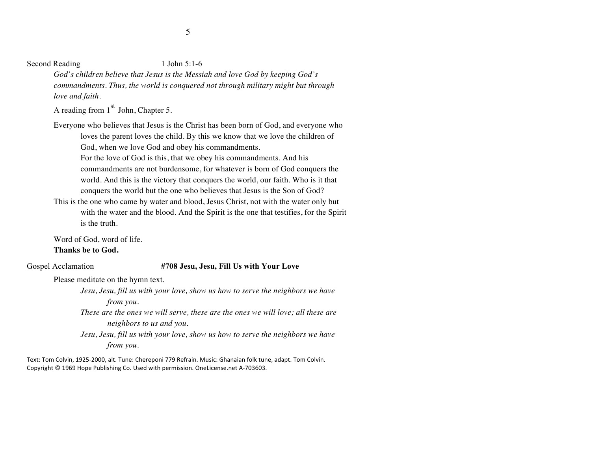Second Reading 1 John 5:1-6

*God's children believe that Jesus is the Messiah and love God by keeping God's commandments. Thus, the world is conquered not through military might but through love and faith.*

A reading from  $1<sup>st</sup>$  John, Chapter 5.

Everyone who believes that Jesus is the Christ has been born of God, and everyone who loves the parent loves the child. By this we know that we love the children of God, when we love God and obey his commandments. For the love of God is this, that we obey his commandments. And his commandments are not burdensome, for whatever is born of God conquers the world. And this is the victory that conquers the world, our faith. Who is it that conquers the world but the one who believes that Jesus is the Son of God?

This is the one who came by water and blood, Jesus Christ, not with the water only but with the water and the blood. And the Spirit is the one that testifies, for the Spirit is the truth.

Word of God, word of life.

## **Thanks be to God.**

### Gospel Acclamation **#708 Jesu, Jesu, Fill Us with Your Love**

Please meditate on the hymn text.

*Jesu, Jesu, fill us with your love, show us how to serve the neighbors we have from you.*

*These are the ones we will serve, these are the ones we will love; all these are neighbors to us and you.* 

*Jesu, Jesu, fill us with your love, show us how to serve the neighbors we have from you.*

Text: Tom Colvin, 1925-2000, alt. Tune: Chereponi 779 Refrain. Music: Ghanaian folk tune, adapt. Tom Colvin. Copyright  $©$  1969 Hope Publishing Co. Used with permission. OneLicense.net A-703603.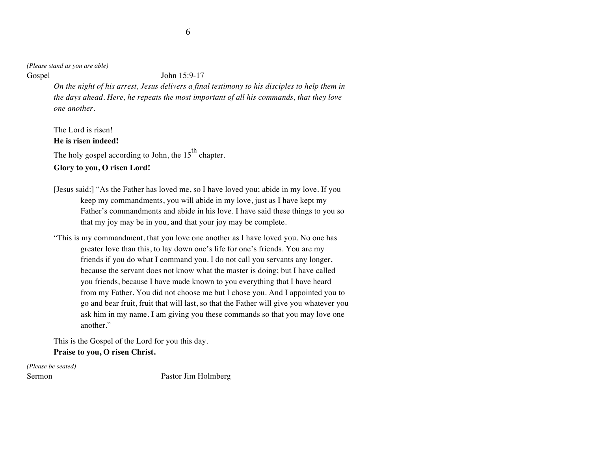*(Please stand as you are able)*

Gospel John 15:9-17

*On the night of his arrest, Jesus delivers a final testimony to his disciples to help them in the days ahead. Here, he repeats the most important of all his commands, that they love one another.*

The Lord is risen! **He is risen indeed!**

The holy gospel according to John, the  $15^{\text{th}}$  chapter.

**Glory to you, O risen Lord!**

- [Jesus said:] "As the Father has loved me, so I have loved you; abide in my love. If you keep my commandments, you will abide in my love, just as I have kept my Father's commandments and abide in his love. I have said these things to you so that my joy may be in you, and that your joy may be complete.
- "This is my commandment, that you love one another as I have loved you. No one has greater love than this, to lay down one's life for one's friends. You are my friends if you do what I command you. I do not call you servants any longer, because the servant does not know what the master is doing; but I have called you friends, because I have made known to you everything that I have heard from my Father. You did not choose me but I chose you. And I appointed you to go and bear fruit, fruit that will last, so that the Father will give you whatever you ask him in my name. I am giving you these commands so that you may love one another."

This is the Gospel of the Lord for you this day. **Praise to you, O risen Christ.**

*(Please be seated)*

Sermon Pastor Jim Holmberg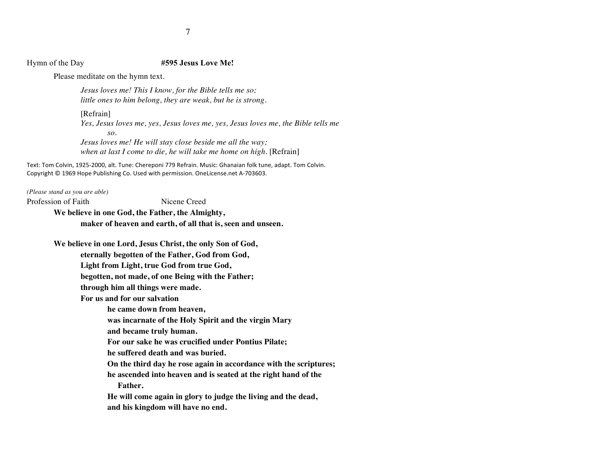#### Hymn of the Day **#595 Jesus Love Me!**

Please meditate on the hymn text.

*Jesus loves me! This I know, for the Bible tells me so; little ones to him belong, they are weak, but he is strong.*

[Refrain] *Yes, Jesus loves me, yes, Jesus loves me, yes, Jesus loves me, the Bible tells me so. Jesus loves me! He will stay close beside me all the way; when at last I come to die, he will take me home on high.* [Refrain]

Text: Tom Colvin, 1925-2000, alt. Tune: Chereponi 779 Refrain. Music: Ghanaian folk tune, adapt. Tom Colvin. Copyright © 1969 Hope Publishing Co. Used with permission. OneLicense.net A-703603.

*(Please stand as you are able)* Profession of Faith Nicene Creed

**We believe in one God, the Father, the Almighty, maker of heaven and earth, of all that is, seen and unseen.**

**We believe in one Lord, Jesus Christ, the only Son of God,** 

**eternally begotten of the Father, God from God,** 

**Light from Light, true God from true God,** 

**begotten, not made, of one Being with the Father;** 

**through him all things were made.**

 **For us and for our salvation** 

**he came down from heaven,** 

**was incarnate of the Holy Spirit and the virgin Mary**

**and became truly human.** 

**For our sake he was crucified under Pontius Pilate;** 

**he suffered death and was buried.** 

**On the third day he rose again in accordance with the scriptures; he ascended into heaven and is seated at the right hand of the**

 **Father.** 

**He will come again in glory to judge the living and the dead, and his kingdom will have no end.**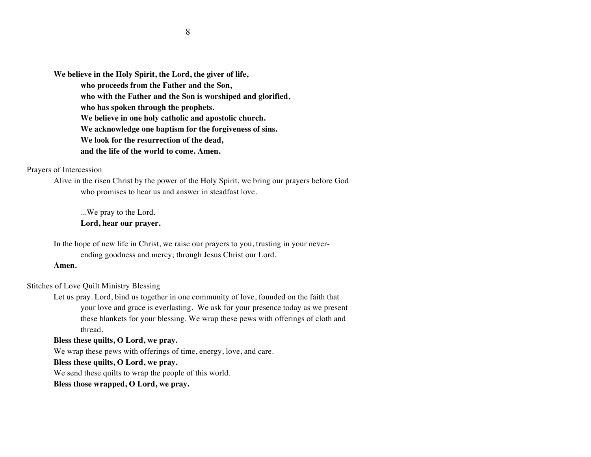**We believe in the Holy Spirit, the Lord, the giver of life, who proceeds from the Father and the Son, who with the Father and the Son is worshiped and glorified, who has spoken through the prophets. We believe in one holy catholic and apostolic church. We acknowledge one baptism for the forgiveness of sins. We look for the resurrection of the dead, and the life of the world to come. Amen.**

#### Prayers of Intercession

Alive in the risen Christ by the power of the Holy Spirit, we bring our prayers before God who promises to hear us and answer in steadfast love.

...We pray to the Lord. **Lord, hear our prayer.**

In the hope of new life in Christ, we raise our prayers to you, trusting in your neverending goodness and mercy; through Jesus Christ our Lord.

#### **Amen.**

## Stitches of Love Quilt Ministry Blessing

Let us pray. Lord, bind us together in one community of love, founded on the faith that your love and grace is everlasting. We ask for your presence today as we present these blankets for your blessing. We wrap these pews with offerings of cloth and thread.

#### **Bless these quilts, O Lord, we pray.**

We wrap these pews with offerings of time, energy, love, and care.

## **Bless these quilts, O Lord, we pray.**

We send these quilts to wrap the people of this world.

**Bless those wrapped, O Lord, we pray.**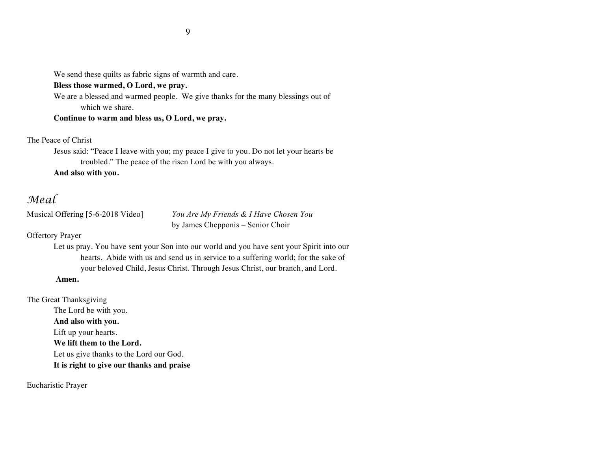We send these quilts as fabric signs of warmth and care.

## **Bless those warmed, O Lord, we pray.**

We are a blessed and warmed people. We give thanks for the many blessings out of which we share.

**Continue to warm and bless us, O Lord, we pray.**

The Peace of Christ

Jesus said: "Peace I leave with you; my peace I give to you. Do not let your hearts be troubled." The peace of the risen Lord be with you always.

**And also with you.**

# *Meal*

Musical Offering [5-6-2018 Video] *You Are My Friends & I Have Chosen You* by James Chepponis – Senior Choir

Offertory Prayer

Let us pray. You have sent your Son into our world and you have sent your Spirit into our hearts. Abide with us and send us in service to a suffering world; for the sake of your beloved Child, Jesus Christ. Through Jesus Christ, our branch, and Lord.

## **Amen.**

The Great Thanksgiving The Lord be with you. **And also with you.** Lift up your hearts. **We lift them to the Lord.** Let us give thanks to the Lord our God. **It is right to give our thanks and praise**

Eucharistic Prayer